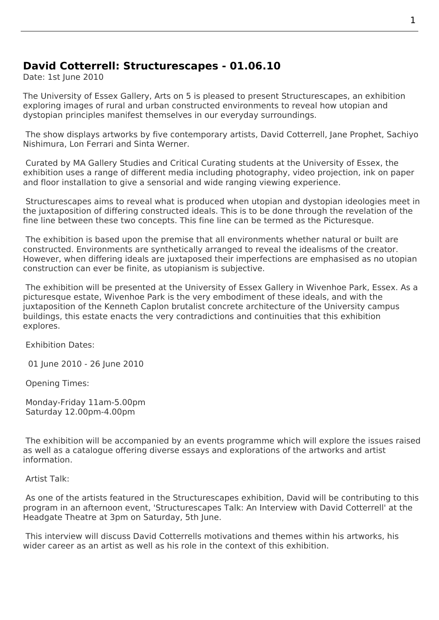## **David Cotterrell: Structurescapes - 01.06.10**

Date: 1st June 2010

The University of Essex Gallery, Arts on 5 is pleased to present Structurescapes, an exhibition exploring images of rural and urban constructed environments to reveal how utopian and dystopian principles manifest themselves in our everyday surroundings.

 The show displays artworks by [five conte](http://www.essex.ac.uk/artson5/Event.aspx?type=exhibitions)mporary artists, Davi[d Cotterrell, Jane](http://www.essex.ac.uk/artson5/Event.aspx?type=exhibitions) Prophet, Sachiyo Nishimura, Lon Ferrari and Sinta Werner.

 Curated by MA Gallery Studies and Critical Curating students at the University of Essex, the exhibition uses a range of different media including photo[graphy, video pr](http://www.cotterrell.com/projects/4193/roadrunner/)[ojection, ink o](http://www.janeprophet.com/)[n paper](http://www.snishimura.com/) [and floor in](http://www.snishimura.com/)[stallation to](http://www.leonferrari.com.ar/) giv[e a sensorial a](http://www.sintawerner.net/)nd wide ranging viewing experience.

 Structurescapes aims to reveal what is produced when utopian and dystopian ideologies meet in the juxtaposition of differing constructed ideals. This is to be done through the revelation of the fine line between these two concepts. This fine line can be termed as the Picturesque.

 The exhibition is based upon the premise that all environments whether natural or built are constructed. Environments are synthetically arranged to reveal the idealisms of the creator. However, when differing ideals are juxtaposed their imperfections are emphasised as no utopian construction can ever be finite, as utopianism is subjective.

 The exhibition will be presented at the University of Essex Gallery in Wivenhoe Park, Essex. As a picturesque estate, Wivenhoe Park is the very embodiment of these ideals, and with the juxtaposition of the Kenneth Caplon brutalist concrete architecture of the University campus buildings, this estate enacts the very contradictions and continuities that this exhibition explores.

Exhibition Dates:

01 June 2010 - 26 June 2010

Opening Times:

Monday-Friday 11am-5.00pm Saturday 12.00pm-4.00pm

 The exhibition will be accompanied by an events programme which will explore the issues raised as well as a catalogue offering diverse essays and explorations of the artworks and artist information.

Artist Talk:

 As one of the artists featured in the Structurescapes exhibition, David will be contributing to this program in an afternoon event, 'Structurescapes Talk: An Interview with David Cotterrell' at the Headgate Theatre at 3pm on Saturday, 5th June.

 This interview will discuss David Cotterrells motivations and themes within his artworks, his wider career as an artist as well [as his role in the context of this exhibition.](http://www.essex.ac.uk/artson5/Education.aspx)